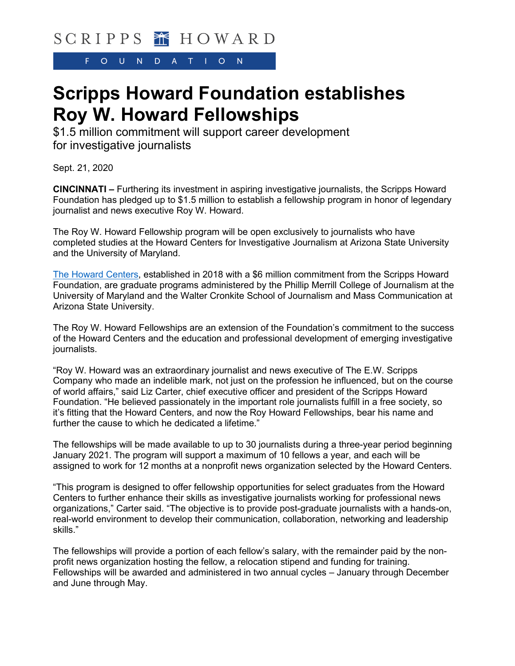F.  $\overline{O}$  $U$  $N D$  $\mathsf{A}$ T.  $\circ$ N.

## **Scripps Howard Foundation establishes Roy W. Howard Fellowships**

\$1.5 million commitment will support career development for investigative journalists

Sept. 21, 2020

**CINCINNATI –** Furthering its investment in aspiring investigative journalists, the Scripps Howard Foundation has pledged up to \$1.5 million to establish a fellowship program in honor of legendary journalist and news executive Roy W. Howard.

The Roy W. Howard Fellowship program will be open exclusively to journalists who have completed studies at the Howard Centers for Investigative Journalism at Arizona State University and the University of Maryland.

[The Howard Centers,](https://scripps.com/foundation/news/1179-scripps-howard-foundation-establishes-howard-centers-for-investigative-journalism/) established in 2018 with a \$6 million commitment from the Scripps Howard Foundation, are graduate programs administered by the Phillip Merrill College of Journalism at the University of Maryland and the Walter Cronkite School of Journalism and Mass Communication at Arizona State University.

The Roy W. Howard Fellowships are an extension of the Foundation's commitment to the success of the Howard Centers and the education and professional development of emerging investigative journalists.

"Roy W. Howard was an extraordinary journalist and news executive of The E.W. Scripps Company who made an indelible mark, not just on the profession he influenced, but on the course of world affairs," said Liz Carter, chief executive officer and president of the Scripps Howard Foundation. "He believed passionately in the important role journalists fulfill in a free society, so it's fitting that the Howard Centers, and now the Roy Howard Fellowships, bear his name and further the cause to which he dedicated a lifetime."

The fellowships will be made available to up to 30 journalists during a three-year period beginning January 2021. The program will support a maximum of 10 fellows a year, and each will be assigned to work for 12 months at a nonprofit news organization selected by the Howard Centers.

"This program is designed to offer fellowship opportunities for select graduates from the Howard Centers to further enhance their skills as investigative journalists working for professional news organizations," Carter said. "The objective is to provide post-graduate journalists with a hands-on, real-world environment to develop their communication, collaboration, networking and leadership skills."

The fellowships will provide a portion of each fellow's salary, with the remainder paid by the nonprofit news organization hosting the fellow, a relocation stipend and funding for training. Fellowships will be awarded and administered in two annual cycles – January through December and June through May.